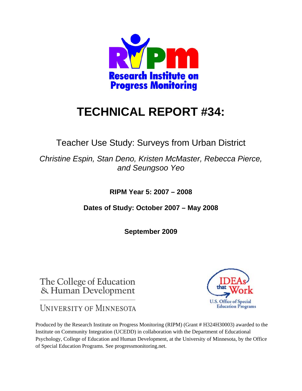

# **TECHNICAL REPORT #34:**

Teacher Use Study: Surveys from Urban District

*Christine Espin, Stan Deno, Kristen McMaster, Rebecca Pierce, and Seungsoo Yeo* 

**RIPM Year 5: 2007 – 2008** 

**Dates of Study: October 2007 – May 2008** 

**September 2009** 

The College of Education & Human Development

**UNIVERSITY OF MINNESOTA** 



Produced by the Research Institute on Progress Monitoring (RIPM) (Grant # H324H30003) awarded to the Institute on Community Integration (UCEDD) in collaboration with the Department of Educational Psychology, College of Education and Human Development, at the University of Minnesota, by the Office of Special Education Programs. See progressmonitoring.net.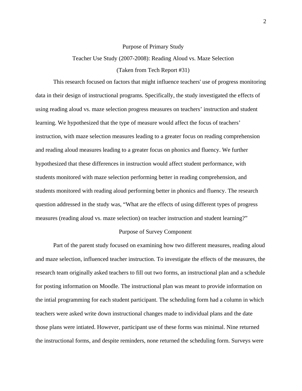#### Purpose of Primary Study

## Teacher Use Study (2007-2008): Reading Aloud vs. Maze Selection

## (Taken from Tech Report #31)

This research focused on factors that might influence teachers' use of progress monitoring data in their design of instructional programs. Specifically, the study investigated the effects of using reading aloud vs. maze selection progress measures on teachers' instruction and student learning. We hypothesized that the type of measure would affect the focus of teachers' instruction, with maze selection measures leading to a greater focus on reading comprehension and reading aloud measures leading to a greater focus on phonics and fluency. We further hypothesized that these differences in instruction would affect student performance, with students monitored with maze selection performing better in reading comprehension, and students monitored with reading aloud performing better in phonics and fluency. The research question addressed in the study was, "What are the effects of using different types of progress measures (reading aloud vs. maze selection) on teacher instruction and student learning?"

#### Purpose of Survey Component

Part of the parent study focused on examining how two different measures, reading aloud and maze selection, influenced teacher instruction. To investigate the effects of the measures, the research team originally asked teachers to fill out two forms, an instructional plan and a schedule for posting information on Moodle. The instructional plan was meant to provide information on the intial programming for each student participant. The scheduling form had a column in which teachers were asked write down instructional changes made to individual plans and the date those plans were intiated. However, participant use of these forms was minimal. Nine returned the instructional forms, and despite reminders, none returned the scheduling form. Surveys were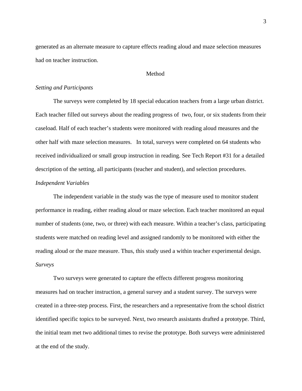generated as an alternate measure to capture effects reading aloud and maze selection measures had on teacher instruction.

## Method

## *Setting and Participants*

The surveys were completed by 18 special education teachers from a large urban district. Each teacher filled out surveys about the reading progress of two, four, or six students from their caseload. Half of each teacher's students were monitored with reading aloud measures and the other half with maze selection measures. In total, surveys were completed on 64 students who received individualized or small group instruction in reading. See Tech Report #31 for a detailed description of the setting, all participants (teacher and student), and selection procedures.

## *Independent Variables*

The independent variable in the study was the type of measure used to monitor student performance in reading, either reading aloud or maze selection. Each teacher monitored an equal number of students (one, two, or three) with each measure. Within a teacher's class, participating students were matched on reading level and assigned randomly to be monitored with either the reading aloud or the maze measure. Thus, this study used a within teacher experimental design. *Surveys* 

Two surveys were generated to capture the effects different progress monitoring measures had on teacher instruction, a general survey and a student survey. The surveys were created in a three-step process. First, the researchers and a representative from the school district identified specific topics to be surveyed. Next, two research assistants drafted a prototype. Third, the initial team met two additional times to revise the prototype. Both surveys were administered at the end of the study.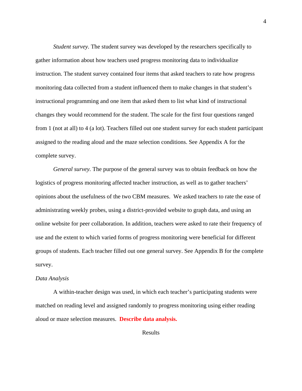*Student survey.* The student survey was developed by the researchers specifically to gather information about how teachers used progress monitoring data to individualize instruction. The student survey contained four items that asked teachers to rate how progress monitoring data collected from a student influenced them to make changes in that student's instructional programming and one item that asked them to list what kind of instructional changes they would recommend for the student. The scale for the first four questions ranged from 1 (not at all) to 4 (a lot). Teachers filled out one student survey for each student participant assigned to the reading aloud and the maze selection conditions. See Appendix A for the complete survey.

*General survey.* The purpose of the general survey was to obtain feedback on how the logistics of progress monitoring affected teacher instruction, as well as to gather teachers' opinions about the usefulness of the two CBM measures. We asked teachers to rate the ease of administrating weekly probes, using a district-provided website to graph data, and using an online website for peer collaboration. In addition, teachers were asked to rate their frequency of use and the extent to which varied forms of progress monitoring were beneficial for different groups of students. Each teacher filled out one general survey. See Appendix B for the complete survey.

#### *Data Analysis*

A within-teacher design was used, in which each teacher's participating students were matched on reading level and assigned randomly to progress monitoring using either reading aloud or maze selection measures. **Describe data analysis.**

Results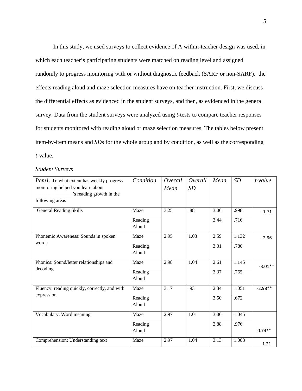In this study, we used surveys to collect evidence of A within-teacher design was used, in which each teacher's participating students were matched on reading level and assigned randomly to progress monitoring with or without diagnostic feedback (SARF or non-SARF). the effects reading aloud and maze selection measures have on teacher instruction. First, we discuss the differential effects as evidenced in the student surveys, and then, as evidenced in the general survey. Data from the student surveys were analyzed using *t-*tests to compare teacher responses for students monitored with reading aloud or maze selection measures. The tables below present item-by-item means and *SD*s for the whole group and by condition, as well as the corresponding *t-*value.

## *Student Surveys*

| <i>Item1</i> . To what extent has weekly progress   | Condition | Overall | Overall | Mean | SD    | t-value   |
|-----------------------------------------------------|-----------|---------|---------|------|-------|-----------|
| monitoring helped you learn about                   |           | Mean    | SD      |      |       |           |
| 's reading growth in the                            |           |         |         |      |       |           |
| following areas                                     |           |         |         |      |       |           |
| <b>General Reading Skills</b>                       | Maze      | 3.25    | .88     | 3.06 | .998  | $-1.71$   |
|                                                     | Reading   |         |         | 3.44 | .716  |           |
|                                                     | Aloud     |         |         |      |       |           |
| Phonemic Awareness: Sounds in spoken<br>words       | Maze      | 2.95    | 1.03    | 2.59 | 1.132 | $-2.96$   |
|                                                     | Reading   |         |         | 3.31 | .780  |           |
|                                                     | Aloud     |         |         |      |       |           |
| Phonics: Sound/letter relationships and<br>decoding | Maze      | 2.98    | 1.04    | 2.61 | 1.145 | $-3.01**$ |
|                                                     | Reading   |         |         | 3.37 | .765  |           |
|                                                     | Aloud     |         |         |      |       |           |
| Fluency: reading quickly, correctly, and with       | Maze      | 3.17    | .93     | 2.84 | 1.051 | $-2.98**$ |
| expression                                          | Reading   |         |         | 3.50 | .672  |           |
|                                                     | Aloud     |         |         |      |       |           |
| Vocabulary: Word meaning                            | Maze      | 2.97    | 1.01    | 3.06 | 1.045 |           |
|                                                     | Reading   |         |         | 2.88 | .976  |           |
|                                                     | Aloud     |         |         |      |       | $0.74**$  |
| Comprehension: Understanding text                   | Maze      | 2.97    | 1.04    | 3.13 | 1.008 | 1.21      |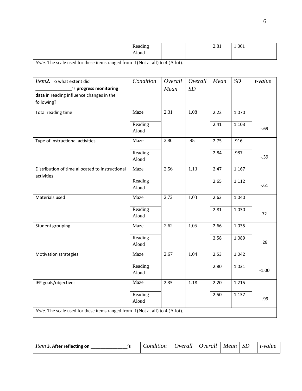| $\cdots$<br><sub>n</sub><br>مصطط<br>້⊳∧∩<br>_____<br>Aloud | 201<br>2.01 | 1.061 |  |
|------------------------------------------------------------|-------------|-------|--|
|------------------------------------------------------------|-------------|-------|--|

| Item2. To what extent did<br>'s progress monitoring                                   | Condition        | Overall<br>Mean | Overall<br>SD | Mean | SD    | $t$ -value |
|---------------------------------------------------------------------------------------|------------------|-----------------|---------------|------|-------|------------|
| data in reading influence changes in the<br>following?                                |                  |                 |               |      |       |            |
| Total reading time                                                                    | Maze             | 2.31            | 1.08          | 2.22 | 1.070 |            |
|                                                                                       | Reading<br>Aloud |                 |               | 2.41 | 1.103 | $-69$      |
| Type of instructional activities                                                      | Maze             | 2.80            | .95           | 2.75 | .916  |            |
|                                                                                       | Reading<br>Aloud |                 |               | 2.84 | .987  | $-0.39$    |
| Distribution of time allocated to instructional<br>activities                         | Maze             | 2.56            | 1.13          | 2.47 | 1.167 |            |
|                                                                                       | Reading<br>Aloud |                 |               | 2.65 | 1.112 | $-0.61$    |
| Materials used                                                                        | Maze             | 2.72            | 1.03          | 2.63 | 1.040 |            |
|                                                                                       | Reading<br>Aloud |                 |               | 2.81 | 1.030 | $-.72$     |
| Student grouping                                                                      | Maze             | 2.62            | 1.05          | 2.66 | 1.035 |            |
|                                                                                       | Reading<br>Aloud |                 |               | 2.58 | 1.089 | .28        |
| Motivation strategies                                                                 | Maze             | 2.67            | 1.04          | 2.53 | 1.042 |            |
|                                                                                       | Reading<br>Aloud |                 |               | 2.80 | 1.031 | $-1.00$    |
| IEP goals/objectives                                                                  | Maze             | 2.35            | 1.18          | 2.20 | 1.215 |            |
|                                                                                       | Reading<br>Aloud |                 |               | 2.50 | 1.137 | $-0.99$    |
| <i>Note.</i> The scale used for these items ranged from $1(Not at all) to 4 (A lot).$ |                  |                 |               |      |       |            |

| <i>Item</i> 3. After reflecting on | Condition |  | $Overal$   $Overal$ | Mean SD |  | t-value |
|------------------------------------|-----------|--|---------------------|---------|--|---------|
|------------------------------------|-----------|--|---------------------|---------|--|---------|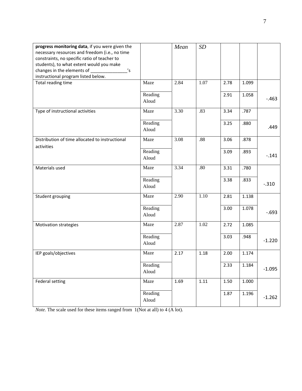| progress monitoring data, if you were given the<br>necessary resources and freedom (i.e., no time<br>constraints, no specific ratio of teacher to<br>students), to what extent would you make<br>changes in the elements of _________<br>'s<br>instructional program listed below. |                  | Mean | SD   |      |       |          |
|------------------------------------------------------------------------------------------------------------------------------------------------------------------------------------------------------------------------------------------------------------------------------------|------------------|------|------|------|-------|----------|
| Total reading time                                                                                                                                                                                                                                                                 | Maze             | 2.84 | 1.07 | 2.78 | 1.099 |          |
|                                                                                                                                                                                                                                                                                    | Reading<br>Aloud |      |      | 2.91 | 1.058 | $-.463$  |
| Type of instructional activities                                                                                                                                                                                                                                                   | Maze             | 3.30 | .83  | 3.34 | .787  |          |
|                                                                                                                                                                                                                                                                                    | Reading<br>Aloud |      |      | 3.25 | .880  | .449     |
| Distribution of time allocated to instructional                                                                                                                                                                                                                                    | Maze             | 3.08 | .88  | 3.06 | .878  |          |
| activities                                                                                                                                                                                                                                                                         | Reading<br>Aloud |      |      | 3.09 | .893  | $-.141$  |
| Materials used                                                                                                                                                                                                                                                                     | Maze             | 3.34 | .80  | 3.31 | .780  |          |
|                                                                                                                                                                                                                                                                                    | Reading<br>Aloud |      |      | 3.38 | .833  | $-.310$  |
| Student grouping                                                                                                                                                                                                                                                                   | Maze             | 2.90 | 1.10 | 2.81 | 1.138 |          |
|                                                                                                                                                                                                                                                                                    | Reading<br>Aloud |      |      | 3.00 | 1.078 | $-693$   |
| Motivation strategies                                                                                                                                                                                                                                                              | Maze             | 2.87 | 1.02 | 2.72 | 1.085 |          |
|                                                                                                                                                                                                                                                                                    | Reading<br>Aloud |      |      | 3.03 | .948  | $-1.220$ |
| IEP goals/objectives                                                                                                                                                                                                                                                               | Maze             | 2.17 | 1.18 | 2.00 | 1.174 |          |
|                                                                                                                                                                                                                                                                                    | Reading<br>Aloud |      |      | 2.33 | 1.184 | $-1.095$ |
| <b>Federal setting</b>                                                                                                                                                                                                                                                             | Maze             | 1.69 | 1.11 | 1.50 | 1.000 |          |
|                                                                                                                                                                                                                                                                                    | Reading<br>Aloud |      |      | 1.87 | 1.196 | $-1.262$ |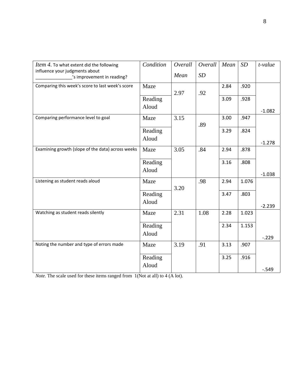| Item 4. To what extent did the following                     | Condition        | Overall | Overall | Mean | SD    | t-value  |
|--------------------------------------------------------------|------------------|---------|---------|------|-------|----------|
| influence your judgments about<br>'s improvement in reading? |                  | Mean    | SD      |      |       |          |
| Comparing this week's score to last week's score             | Maze             |         |         | 2.84 | .920  |          |
|                                                              | Reading          | 2.97    | .92     | 3.09 | .928  |          |
|                                                              | Aloud            |         |         |      |       | $-1.082$ |
| Comparing performance level to goal                          | Maze             | 3.15    |         | 3.00 | .947  |          |
|                                                              | Reading<br>Aloud |         | .89     | 3.29 | .824  |          |
|                                                              |                  |         |         |      |       | $-1.278$ |
| Examining growth (slope of the data) across weeks            | Maze             | 3.05    | .84     | 2.94 | .878  |          |
|                                                              | Reading          |         |         | 3.16 | .808  |          |
|                                                              | Aloud            |         |         |      |       | $-1.038$ |
| Listening as student reads aloud                             | Maze             | 3.20    | .98     | 2.94 | 1.076 |          |
|                                                              | Reading          |         |         | 3.47 | .803  |          |
|                                                              | Aloud            |         |         |      |       | $-2.239$ |
| Watching as student reads silently                           | Maze             | 2.31    | 1.08    | 2.28 | 1.023 |          |
|                                                              | Reading          |         |         | 2.34 | 1.153 |          |
|                                                              | Aloud            |         |         |      |       | $-.229$  |
| Noting the number and type of errors made                    | Maze             | 3.19    | .91     | 3.13 | .907  |          |
|                                                              | Reading          |         |         | 3.25 | .916  |          |
|                                                              | Aloud            |         |         |      |       | $-0.549$ |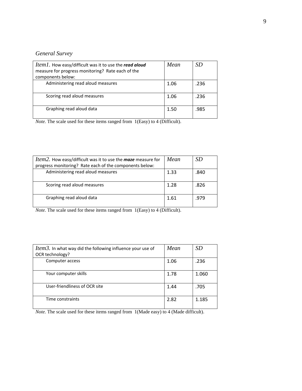# *General Survey*

| <i>Item1</i> . How easy/difficult was it to use the read aloud<br>measure for progress monitoring? Rate each of the<br>components below: | Mean | SD   |
|------------------------------------------------------------------------------------------------------------------------------------------|------|------|
| Administering read aloud measures                                                                                                        | 1.06 | .236 |
| Scoring read aloud measures                                                                                                              | 1.06 | .236 |
| Graphing read aloud data                                                                                                                 | 1.50 | .985 |

*Note.* The scale used for these items ranged from 1(Easy) to 4 (Difficult).

| Item2. How easy/difficult was it to use the maze measure for | Mean | SD   |
|--------------------------------------------------------------|------|------|
| progress monitoring? Rate each of the components below:      |      |      |
| Administering read aloud measures                            | 1.33 | .840 |
|                                                              |      |      |
| Scoring read aloud measures                                  | 1.28 | .826 |
|                                                              |      |      |
| Graphing read aloud data                                     | 1.61 | .979 |
|                                                              |      |      |
|                                                              |      |      |

*Note.* The scale used for these items ranged from 1(Easy) to 4 (Difficult).

| <i>Item3</i> . In what way did the following influence your use of | Mean | <i>SD</i> |
|--------------------------------------------------------------------|------|-----------|
| OCR technology?                                                    |      |           |
| Computer access                                                    | 1.06 | .236      |
| Your computer skills                                               | 1.78 | 1.060     |
| User-friendliness of OCR site                                      | 1.44 | .705      |
| Time constraints                                                   | 2.82 | 1.185     |

*Note.* The scale used for these items ranged from 1(Made easy) to 4 (Made difficult).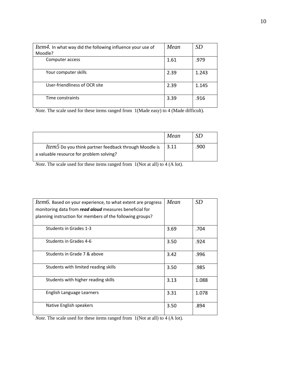| <i>Item4</i> . In what way did the following influence your use of<br>Moodle? | Mean | <i>SD</i> |
|-------------------------------------------------------------------------------|------|-----------|
| Computer access                                                               | 1.61 | .979      |
| Your computer skills                                                          | 2.39 | 1.243     |
| User-friendliness of OCR site                                                 | 2.39 | 1.145     |
| Time constraints                                                              | 3.39 | .916      |

*Note.* The scale used for these items ranged from 1(Made easy) to 4 (Made difficult).

|                                                                                                          | Mean | SD   |
|----------------------------------------------------------------------------------------------------------|------|------|
| <i>Item5</i> Do you think partner feedback through Moodle is<br>a valuable resource for problem solving? | 3.11 | .900 |

*Note.* The scale used for these items ranged from 1(Not at all) to 4 (A lot).

| <i>Item6</i> . Based on your experience, to what extent are progress | Mean | SD    |
|----------------------------------------------------------------------|------|-------|
| monitoring data from read aloud measures beneficial for              |      |       |
| planning instruction for members of the following groups?            |      |       |
| Students in Grades 1-3                                               | 3.69 | .704  |
| Students in Grades 4-6                                               | 3.50 | .924  |
| Students in Grade 7 & above                                          | 3.42 | .996  |
| Students with limited reading skills                                 | 3.50 | .985  |
| Students with higher reading skills                                  | 3.13 | 1.088 |
| English Language Learners                                            | 3.31 | 1.078 |
| Native English speakers                                              | 3.50 | .894  |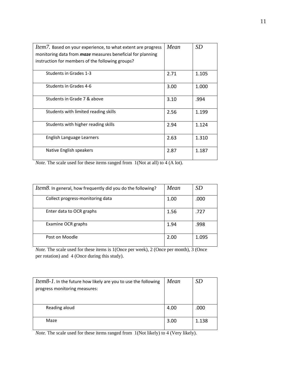| <i>Item7</i> . Based on your experience, to what extent are progress<br>monitoring data from <b>maze</b> measures beneficial for planning | Mean | <b>SD</b> |
|-------------------------------------------------------------------------------------------------------------------------------------------|------|-----------|
| instruction for members of the following groups?                                                                                          |      |           |
| Students in Grades 1-3                                                                                                                    | 2.71 | 1.105     |
| Students in Grades 4-6                                                                                                                    | 3.00 | 1.000     |
| Students in Grade 7 & above                                                                                                               | 3.10 | .994      |
| Students with limited reading skills                                                                                                      | 2.56 | 1.199     |
| Students with higher reading skills                                                                                                       | 2.94 | 1.124     |
| English Language Learners                                                                                                                 | 2.63 | 1.310     |
| Native English speakers                                                                                                                   | 2.87 | 1.187     |

| <i>Item8</i> . In general, how frequently did you do the following? | Mean | SD    |
|---------------------------------------------------------------------|------|-------|
| Collect progress-monitoring data                                    | 1.00 | .000  |
| Enter data to OCR graphs                                            | 1.56 | .727  |
| Examine OCR graphs                                                  | 1.94 | .998  |
| Post on Moodle                                                      | 2.00 | 1.095 |

*Note.* The scale used for these items is 1(Once per week), 2 (Once per month), 3 (Once per rotation) and 4 (Once during this study).

| Item8-1. In the future how likely are you to use the following<br>progress monitoring measures: | Mean | <i>SD</i> |
|-------------------------------------------------------------------------------------------------|------|-----------|
| Reading aloud                                                                                   | 4.00 | .000      |
| Maze                                                                                            | 3.00 | 1.138     |

*Note.* The scale used for these items ranged from 1(Not likely) to 4 (Very likely).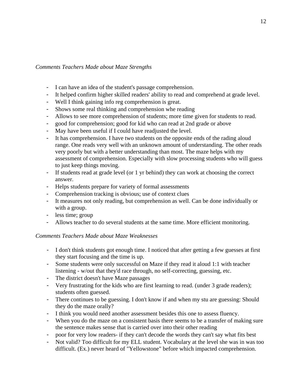# *Comments Teachers Made about Maze Strengths*

- I can have an idea of the student's passage comprehension.
- It helped confirm higher skilled readers' ability to read and comprehend at grade level.
- Well I think gaining info reg comprehension is great.
- Shows some real thinking and comprehension whe reading
- Allows to see more comprehension of students; more time given for students to read.
- good for comprehension; good for kid who can read at 2nd grade or above
- May have been useful if I could have readjusted the level.
- It has comprehension. I have two students on the opposite ends of the rading aloud range. One reads very well with an unknown amount of understanding. The other reads very poorly but with a better understanding than most. The maze helps with my assessment of comprehension. Especially with slow processing students who will guess to just keep things moving.
- If students read at grade level (or 1 yr behind) they can work at choosing the correct answer.
- Helps students prepare for variety of formal assessments
- Comprehension tracking is obvious; use of context clues
- It measures not only reading, but comprehension as well. Can be done individually or with a group.
- less time; group
- Allows teacher to do several students at the same time. More efficient monitoring.

# *Comments Teachers Made about Maze Weaknesses*

- I don't think students got enough time. I noticed that after getting a few guesses at first they start focusing and the time is up.
- Some students were only successful on Maze if they read it aloud 1:1 with teacher listening - w/out that they'd race through, no self-correcting, guessing, etc.
- The district doesn't have Maze passages
- Very frustrating for the kids who are first learning to read. (under 3 grade readers); students often guessed.
- There continues to be guessing. I don't know if and when my stu are guessing: Should they do the maze orally?
- I think you would need another assessment besides this one to assess fluency.
- When you do the maze on a consistent basis there seems to be a transfer of making sure the sentence makes sense that is carried over into their other reading
- poor for very low readers- if they can't decode the words they can't say what fits best
- Not valid? Too difficult for my ELL student. Vocabulary at the level she was in was too difficult. (Ex.) never heard of "Yellowstone" before which impacted comprehension.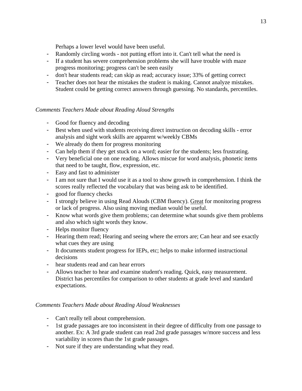Perhaps a lower level would have been useful.

- Randomly circling words not putting effort into it. Can't tell what the need is
- If a student has severe comprehension problems she will have trouble with maze progress monitoring; progress can't be seen easily
- don't hear students read; can skip as read; accuracy issue; 33% of getting correct
- Teacher does not hear the mistakes the student is making. Cannot analyze mistakes. Student could be getting correct answers through guessing. No standards, percentiles.

## *Comments Teachers Made about Reading Aloud Strengths*

- Good for fluency and decoding
- Best when used with students receiving direct instruction on decoding skills error analysis and sight work skills are apparent w/weekly CBMs
- We already do them for progress monitoring
- Can help them if they get stuck on a word; easier for the students; less frustrating.
- Very beneficial one on one reading. Allows miscue for word analysis, phonetic items that need to be taught, flow, expression, etc.
- Easy and fast to administer
- I am not sure that I would use it as a tool to show growth in comprehension. I think the scores really reflected the vocabulary that was being ask to be identified.
- good for fluency checks
- I strongly believe in using Read Alouds (CBM fluency). Great for monitoring progress or lack of progress. Also using moving median would be useful.
- Know what words give them problems; can determine what sounds give them problems and also which sight words they know.
- Helps monitor fluency
- Hearing them read; Hearing and seeing where the errors are; Can hear and see exactly what cues they are using
- It documents student progress for IEPs, etc; helps to make informed instructional decisions
- hear students read and can hear errors
- Allows teacher to hear and examine student's reading. Quick, easy measurement. District has percentiles for comparison to other students at grade level and standard expectations.

# *Comments Teachers Made about Reading Aloud Weaknesses*

- Can't really tell about comprehension.
- 1st grade passages are too inconsistent in their degree of difficulty from one passage to another. Ex: A 3rd grade student can read 2nd grade passages w/more success and less variability in scores than the 1st grade passages.
- Not sure if they are understanding what they read.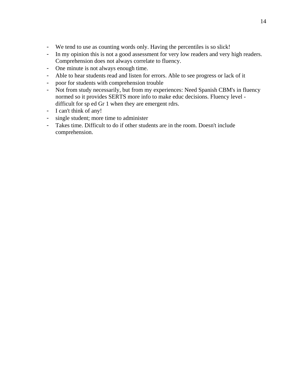- We tend to use as counting words only. Having the percentiles is so slick!
- In my opinion this is not a good assessment for very low readers and very high readers. Comprehension does not always correlate to fluency.
- One minute is not always enough time.
- Able to hear students read and listen for errors. Able to see progress or lack of it
- poor for students with comprehension trouble
- Not from study necessarily, but from my experiences: Need Spanish CBM's in fluency normed so it provides SERTS more info to make educ decisions. Fluency level difficult for sp ed Gr 1 when they are emergent rdrs.
- I can't think of any!
- single student; more time to administer
- Takes time. Difficult to do if other students are in the room. Doesn't include comprehension.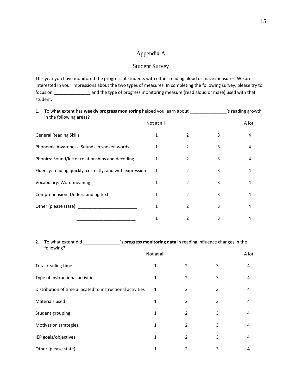# Appendix A

## Student Survey

This year you have monitored the progress of students with either reading aloud or maze measures. We are interested in your impressions about the two types of measures. In completing the following survey, please try to focus on \_\_\_\_\_\_\_\_\_\_\_\_\_\_\_ and the type of progress monitoring measure (read aloud or maze) used with that student.

| To what extent has <b>weekly progress monitoring</b> helped you learn about<br>1.<br>in the following areas? |                                   |            |                          |   | 's reading growth |  |
|--------------------------------------------------------------------------------------------------------------|-----------------------------------|------------|--------------------------|---|-------------------|--|
|                                                                                                              |                                   | Not at all |                          |   | A lot             |  |
|                                                                                                              | <b>General Reading Skills</b>     | 1          | 2                        | 3 | 4                 |  |
| Phonemic Awareness: Sounds in spoken words                                                                   |                                   | 1          | 2                        | 3 | 4                 |  |
| Phonics: Sound/letter relationships and decoding                                                             |                                   | 1          | $\overline{2}$           | 3 | 4                 |  |
| Fluency: reading quickly, correctly, and with expression                                                     |                                   | 1          | $\overline{\phantom{a}}$ | 3 | 4                 |  |
|                                                                                                              | Vocabulary: Word meaning          | 1          | $\overline{2}$           | 3 | 4                 |  |
|                                                                                                              | Comprehension: Understanding text | 1          | 2                        | 3 | 4                 |  |
|                                                                                                              |                                   | 1          | $\overline{2}$           | 3 | 4                 |  |
|                                                                                                              |                                   | 1          | 2                        | 3 | 4                 |  |

#### 2. To what extent did \_\_\_\_\_\_\_\_\_\_\_\_\_\_\_'s **progress monitoring data** in reading influence changes in the following?

|                                                            | Not at all   |                |   | A lot |
|------------------------------------------------------------|--------------|----------------|---|-------|
| Total reading time                                         | $\mathbf{1}$ | 2              | 3 | 4     |
| Type of instructional activities                           | 1            | $\mathcal{L}$  | 3 | 4     |
| Distribution of time allocated to instructional activities | 1            | $\overline{2}$ | 3 | 4     |
| Materials used                                             | 1            | $\overline{2}$ | 3 | 4     |
| Student grouping                                           | 1            | 2              | 3 | 4     |
| Motivation strategies                                      | 1            | $\mathcal{P}$  | 3 | 4     |
| IEP goals/objectives                                       | 1            | $\mathcal{P}$  | 3 | 4     |
| Other (please state):                                      |              | 2              | 3 | 4     |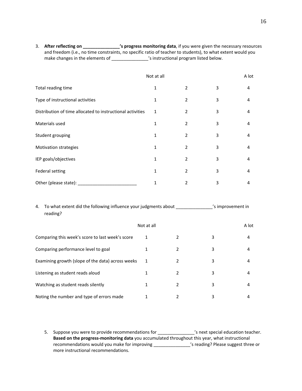3. **After reflecting on \_\_\_\_\_\_\_\_\_\_\_\_\_\_\_'s progress monitoring data**, if you were given the necessary resources and freedom (i.e., no time constraints, no specific ratio of teacher to students), to what extent would you make changes in the elements of \_\_\_\_\_\_\_\_\_\_\_\_\_\_\_\_\_\_'s instructional program listed below.

|                                                            | Not at all   |                |   | A lot |
|------------------------------------------------------------|--------------|----------------|---|-------|
| Total reading time                                         | $\mathbf{1}$ | 2              | 3 | 4     |
| Type of instructional activities                           | 1            | 2              | 3 | 4     |
| Distribution of time allocated to instructional activities | 1            | 2              | 3 | 4     |
| Materials used                                             | 1            | 2              | 3 | 4     |
| Student grouping                                           | 1            | 2              | 3 | 4     |
| Motivation strategies                                      | 1            | 2              | 3 | 4     |
| IEP goals/objectives                                       | 1            | $\mathfrak{p}$ | 3 | 4     |
| <b>Federal setting</b>                                     | 1            | $\mathfrak{p}$ | 3 | 4     |
| Other (please state):                                      | 1            | 2              | 3 | 4     |

| 4. | To what extent did the following influence your judgments about<br>reading? |            |   |   | 's improvement in |  |
|----|-----------------------------------------------------------------------------|------------|---|---|-------------------|--|
|    |                                                                             | Not at all |   |   | A lot             |  |
|    | Comparing this week's score to last week's score                            | 1          | 2 | 3 | 4                 |  |
|    | Comparing performance level to goal                                         |            | 2 | 3 | 4                 |  |
|    | Examining growth (slope of the data) across weeks                           | 1          | 2 | 3 | 4                 |  |
|    | Listening as student reads aloud                                            |            | 2 | 3 | 4                 |  |
|    | Watching as student reads silently                                          |            | 2 | 3 | 4                 |  |
|    | Noting the number and type of errors made                                   |            | 2 | 3 | 4                 |  |

5. Suppose you were to provide recommendations for \_\_\_\_\_\_\_\_\_\_\_\_\_\_\_'s next special education teacher. **Based on the progress‐monitoring data** you accumulated throughout this year, what instructional recommendations would you make for improving \_\_\_\_\_\_\_\_\_\_\_\_\_\_\_\_\_'s reading? Please suggest three or more instructional recommendations.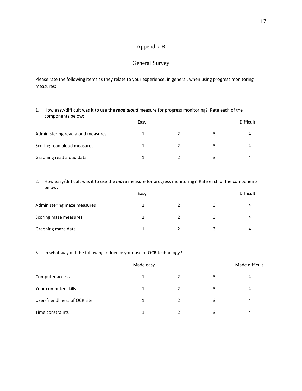## Appendix B

# General Survey

Please rate the following items as they relate to your experience, in general, when using progress monitoring measures**:**

| How easy/difficult was it to use the read aloud measure for progress monitoring? Rate each of the<br>1.<br>components below: |      |  |   |                  |  |  |
|------------------------------------------------------------------------------------------------------------------------------|------|--|---|------------------|--|--|
|                                                                                                                              | Easy |  |   | <b>Difficult</b> |  |  |
| Administering read aloud measures                                                                                            |      |  | 3 |                  |  |  |
| Scoring read aloud measures                                                                                                  |      |  | 3 | 4                |  |  |
| Graphing read aloud data                                                                                                     |      |  |   |                  |  |  |

2. How easy/difficult was it to use the *maze* measure for progress monitoring? Rate each of the components below:

|                             | Easy | Difficult |  |
|-----------------------------|------|-----------|--|
| Administering maze measures |      |           |  |
| Scoring maze measures       |      |           |  |
| Graphing maze data          |      |           |  |

## 3. In what way did the following influence your use of OCR technology?

|                               | Made easy |               |   | Made difficult |
|-------------------------------|-----------|---------------|---|----------------|
| Computer access               | 1         | $\mathcal{L}$ | 3 | 4              |
| Your computer skills          | 1         | 2             | 3 | 4              |
| User-friendliness of OCR site |           |               | 3 | 4              |
| Time constraints              |           | $\mathcal{D}$ | 3 | 4              |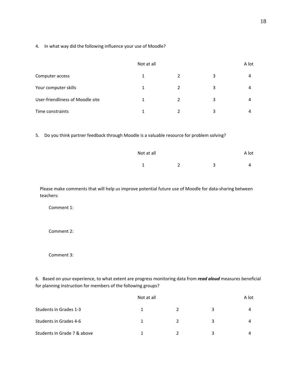4. In what way did the following influence your use of Moodle?

|                                  | Not at all |                |   | A lot |  |
|----------------------------------|------------|----------------|---|-------|--|
| Computer access                  | 1          | 2              | 3 | 4     |  |
| Your computer skills             | 1          | $\overline{2}$ | 3 | 4     |  |
| User-friendliness of Moodle site | 1          | $\mathcal{P}$  | 3 | 4     |  |
| Time constraints                 | 1          | C.             | ς | 4     |  |

5. Do you think partner feedback through Moodle is a valuable resource for problem solving?

| Not at all |        |            | A lot |
|------------|--------|------------|-------|
| -          | ຳ<br>- | $\sqrt{2}$ | Δ     |

Please make comments that will help us improve potential future use of Moodle for data‐sharing between teachers:

Comment 1:

Comment 2:

Comment 3:

6. Based on your experience, to what extent are progress monitoring data from *read aloud* measures beneficial for planning instruction for members of the following groups?

|                             | Not at all |   |   | A lot |  |
|-----------------------------|------------|---|---|-------|--|
| Students in Grades 1-3      |            | 2 | ₹ | 4     |  |
| Students in Grades 4-6      |            |   |   | 4     |  |
| Students in Grade 7 & above |            |   |   | Δ     |  |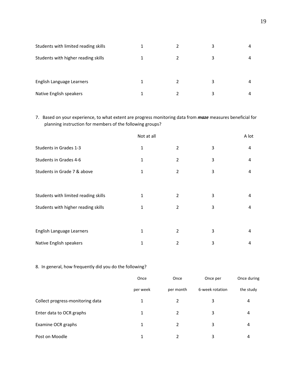| Students with limited reading skills |  |   | 4 |
|--------------------------------------|--|---|---|
| Students with higher reading skills  |  | 3 | 4 |
| English Language Learners            |  |   | 4 |
| Native English speakers              |  |   | 4 |

7. Based on your experience, to what extent are progress monitoring data from *maze* measures beneficial for planning instruction for members of the following groups?

|                                      | Not at all   |   |   | A lot |
|--------------------------------------|--------------|---|---|-------|
| Students in Grades 1-3               | $\mathbf 1$  | 2 | 3 | 4     |
| Students in Grades 4-6               | 1            | 2 | 3 | 4     |
| Students in Grade 7 & above          | 1            | 2 | 3 | 4     |
|                                      |              |   |   |       |
| Students with limited reading skills | 1            | 2 | 3 | 4     |
| Students with higher reading skills  | 1            | 2 | 3 | 4     |
|                                      |              |   |   |       |
| English Language Learners            | $\mathbf{1}$ | 2 | 3 | 4     |
| Native English speakers              | $\mathbf{1}$ | 2 | 3 | 4     |

# 8. In general, how frequently did you do the following?

|                                  | Once     | Once      | Once per        | Once during |
|----------------------------------|----------|-----------|-----------------|-------------|
|                                  | per week | per month | 6-week rotation | the study   |
| Collect progress-monitoring data | 1        | 2         | 3               | 4           |
| Enter data to OCR graphs         | 1        | 2         | 3               | 4           |
| Examine OCR graphs               | 1        | 2         | 3               | 4           |
| Post on Moodle                   |          | 2         | 3               | 4           |